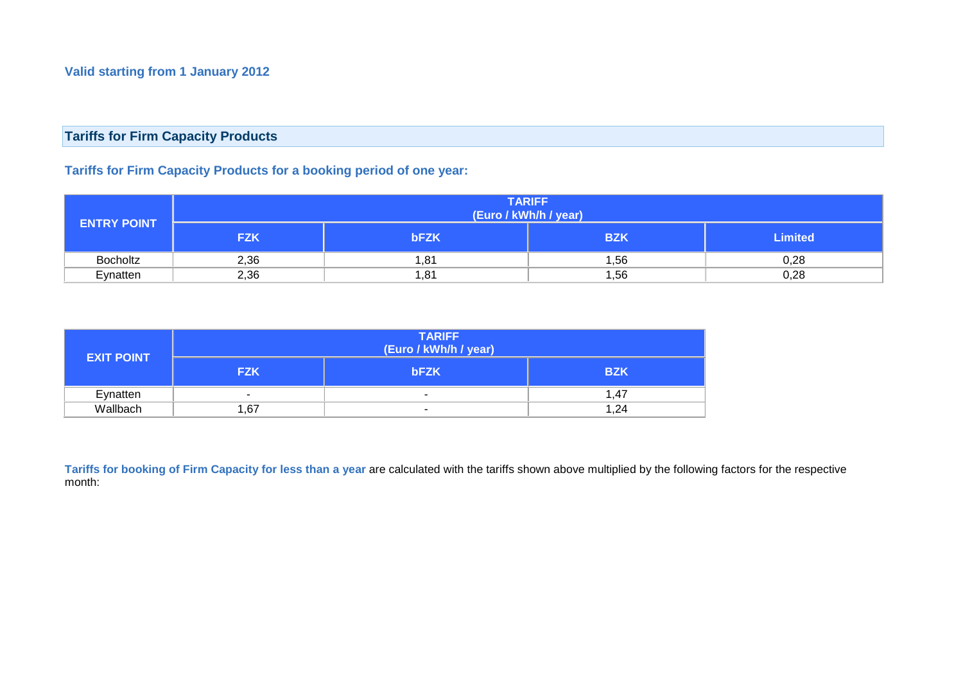## **Tariffs for Firm Capacity Products**

## **Tariffs for Firm Capacity Products for a booking period of one year:**

| <b>ENTRY POINT</b> | <b>TARIFF</b><br>(Euro / kWh/h / year) |             |            |                |
|--------------------|----------------------------------------|-------------|------------|----------------|
|                    | <b>FZK</b>                             | <b>bFZK</b> | <b>BZK</b> | <b>Limited</b> |
| Bocholtz           | 2,36                                   | 81,.        | ,56        | 0,28           |
| Eynatten           | 2,36                                   | 81, ا       | 1,56       | 0,28           |

|                   | <b>TARIFF</b><br>(Euro / kWh/h / year) |                          |            |  |
|-------------------|----------------------------------------|--------------------------|------------|--|
| <b>EXIT POINT</b> | <b>FZK</b>                             | <b>bFZK</b>              | <b>BZK</b> |  |
| Eynatten          | ۰                                      |                          | 1.47       |  |
| Wallbach          | .67                                    | $\overline{\phantom{a}}$ | 1,24       |  |

**Tariffs for booking of Firm Capacity for less than a year** are calculated with the tariffs shown above multiplied by the following factors for the respective month: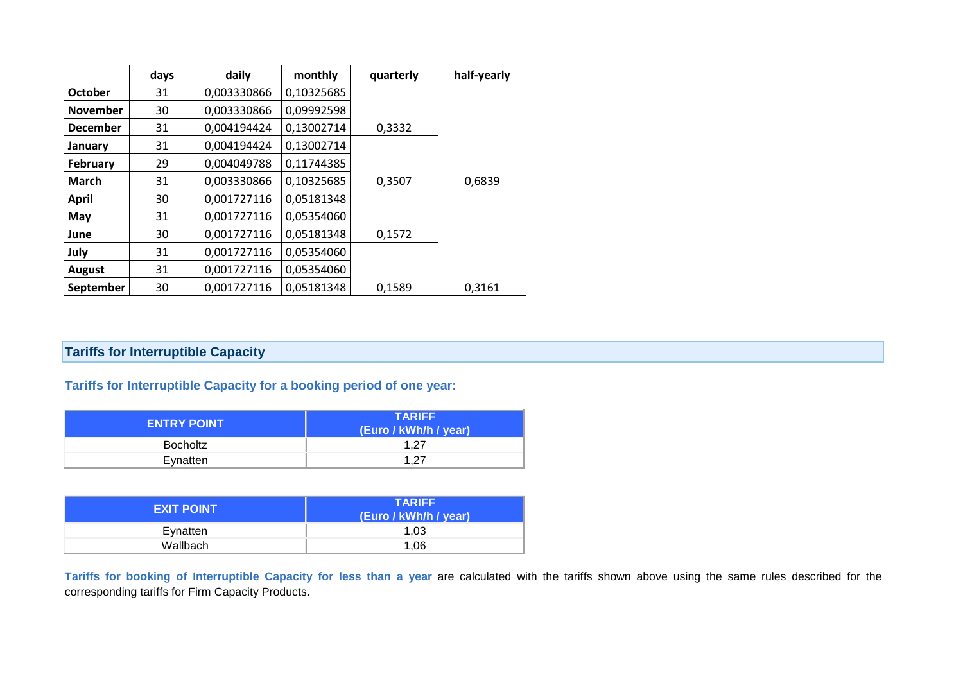|                 | days | daily       | monthly    | quarterly | half-yearly |
|-----------------|------|-------------|------------|-----------|-------------|
| October         | 31   | 0,003330866 | 0,10325685 |           |             |
| <b>November</b> | 30   | 0,003330866 | 0,09992598 |           |             |
| <b>December</b> | 31   | 0,004194424 | 0,13002714 | 0,3332    |             |
| January         | 31   | 0,004194424 | 0,13002714 |           |             |
| <b>February</b> | 29   | 0,004049788 | 0,11744385 |           |             |
| <b>March</b>    | 31   | 0,003330866 | 0,10325685 | 0,3507    | 0,6839      |
| April           | 30   | 0,001727116 | 0,05181348 |           |             |
| May             | 31   | 0,001727116 | 0,05354060 |           |             |
| June            | 30   | 0,001727116 | 0,05181348 | 0,1572    |             |
| July            | 31   | 0,001727116 | 0,05354060 |           |             |
| <b>August</b>   | 31   | 0,001727116 | 0,05354060 |           |             |
| September       | 30   | 0,001727116 | 0,05181348 | 0,1589    | 0,3161      |

# **Tariffs for Interruptible Capacity**

**Tariffs for Interruptible Capacity for a booking period of one year:**

| <b>ENTRY POINT</b> | <b>TARIFF</b><br>(Euro / kWh/h / year) |
|--------------------|----------------------------------------|
| Bocholtz           | 1.27                                   |
| Evnatten           | 1.27                                   |

| <b>EXIT POINT</b> | <b>TARIFF</b><br>(Euro / kWh/h / year) |
|-------------------|----------------------------------------|
| Eynatten          | 1.03                                   |
| Wallbach          | 1.06                                   |

**Tariffs for booking of Interruptible Capacity for less than a year** are calculated with the tariffs shown above using the same rules described for the corresponding tariffs for Firm Capacity Products.